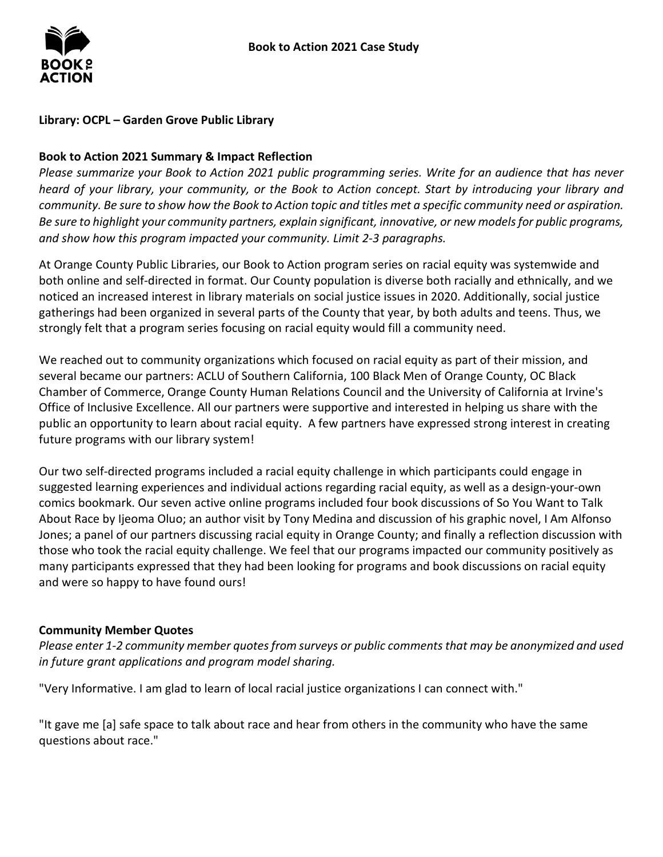

## **Library: OCPL – Garden Grove Public Library**

### **Book to Action 2021 Summary & Impact Reflection**

*Please summarize your Book to Action 2021 public programming series. Write for an audience that has never heard of your library, your community, or the Book to Action concept. Start by introducing your library and community. Be sure to show how the Book to Action topic and titles met a specific community need or aspiration. Be sure to highlight your community partners, explain significant, innovative, or new modelsfor public programs, and show how this program impacted your community. Limit 2-3 paragraphs.*

At Orange County Public Libraries, our Book to Action program series on racial equity was systemwide and both online and self-directed in format. Our County population is diverse both racially and ethnically, and we noticed an increased interest in library materials on social justice issues in 2020. Additionally, social justice gatherings had been organized in several parts of the County that year, by both adults and teens. Thus, we strongly felt that a program series focusing on racial equity would fill a community need.

We reached out to community organizations which focused on racial equity as part of their mission, and several became our partners: ACLU of Southern California, 100 Black Men of Orange County, OC Black Chamber of Commerce, Orange County Human Relations Council and the University of California at Irvine's Office of Inclusive Excellence. All our partners were supportive and interested in helping us share with the public an opportunity to learn about racial equity. A few partners have expressed strong interest in creating future programs with our library system!

Our two self-directed programs included a racial equity challenge in which participants could engage in suggested learning experiences and individual actions regarding racial equity, as well as a design-your-own comics bookmark. Our seven active online programs included four book discussions of So You Want to Talk About Race by Ijeoma Oluo; an author visit by Tony Medina and discussion of his graphic novel, I Am Alfonso Jones; a panel of our partners discussing racial equity in Orange County; and finally a reflection discussion with those who took the racial equity challenge. We feel that our programs impacted our community positively as many participants expressed that they had been looking for programs and book discussions on racial equity and were so happy to have found ours!

#### **Community Member Quotes**

*Please enter 1-2 community member quotes from surveys or public comments that may be anonymized and used in future grant applications and program model sharing.*

"Very Informative. I am glad to learn of local racial justice organizations I can connect with."

"It gave me [a] safe space to talk about race and hear from others in the community who have the same questions about race."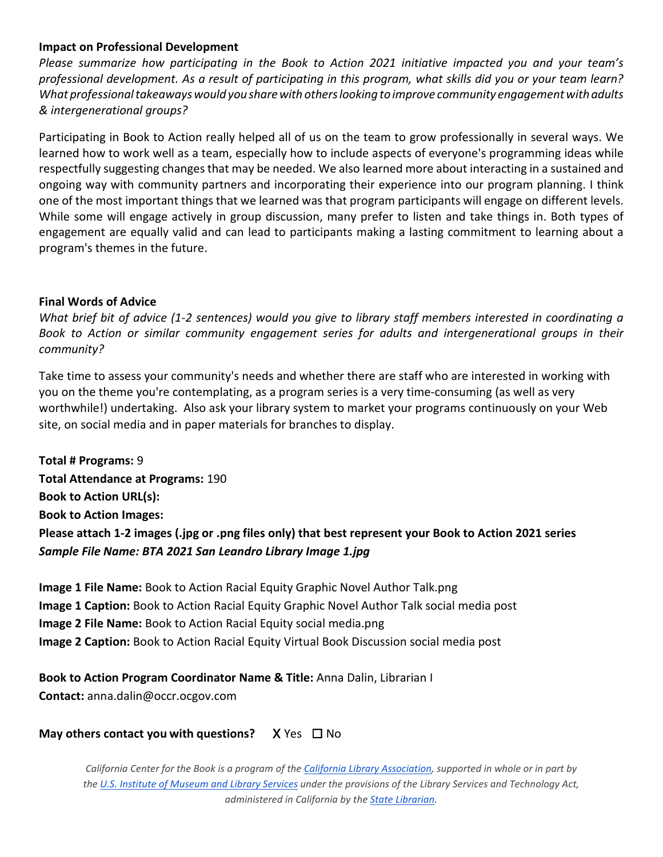#### **Impact on Professional Development**

*Please summarize how participating in the Book to Action 2021 initiative impacted you and your team's professional development. As a result of participating in this program, what skills did you or your team learn? What professionaltakeawayswould yousharewith otherslooking toimprove community engagementwithadults & intergenerational groups?*

Participating in Book to Action really helped all of us on the team to grow professionally in several ways. We learned how to work well as a team, especially how to include aspects of everyone's programming ideas while respectfully suggesting changes that may be needed. We also learned more about interacting in a sustained and ongoing way with community partners and incorporating their experience into our program planning. I think one of the most important things that we learned was that program participants will engage on different levels. While some will engage actively in group discussion, many prefer to listen and take things in. Both types of engagement are equally valid and can lead to participants making a lasting commitment to learning about a program's themes in the future.

#### **Final Words of Advice**

*What brief bit of advice (1-2 sentences) would you give to library staff members interested in coordinating a Book to Action or similar community engagement series for adults and intergenerational groups in their community?*

Take time to assess your community's needs and whether there are staff who are interested in working with you on the theme you're contemplating, as a program series is a very time-consuming (as well as very worthwhile!) undertaking. Also ask your library system to market your programs continuously on your Web site, on social media and in paper materials for branches to display.

**Total # Programs:** 9 **Total Attendance at Programs:** 190 **Book to Action URL(s): Book to Action Images: Please attach 1-2 images (.jpg or .png files only) that best represent your Book to Action 2021 series** *Sample File Name: BTA 2021 San Leandro Library Image 1.jpg*

**Image 1 File Name:** Book to Action Racial Equity Graphic Novel Author Talk.png **Image 1 Caption:** Book to Action Racial Equity Graphic Novel Author Talk social media post **Image 2 File Name:** Book to Action Racial Equity social media.png **Image 2 Caption:** Book to Action Racial Equity Virtual Book Discussion social media post

## **Book to Action Program Coordinator Name & Title:** Anna Dalin, Librarian I

**Contact:** anna.dalin@occr.ocgov.com

## **May others contact you with questions?** X Yes □ No

*California Center for the Book is a program of the [California](http://www.cla-net.org/) Library [Association,](http://www.cla-net.org/) supported in whole or in part by the U.S. Institute of [Museum](http://www.imls.gov/) and Library [Services](http://www.imls.gov/) under the provisions of the Library Services and Technology Act, administered in California by the [State](http://www.library.ca.gov/) [Librarian.](http://www.library.ca.gov/)*